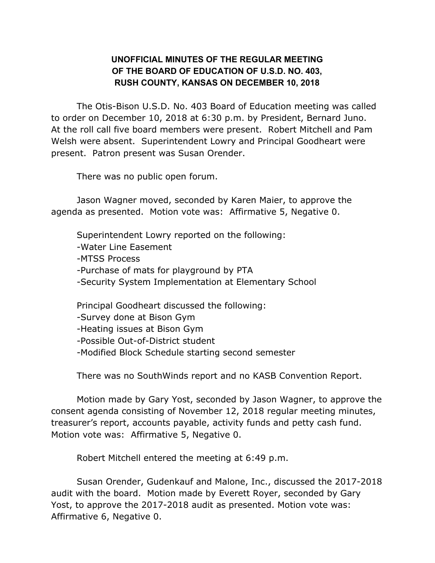## **UNOFFICIAL MINUTES OF THE REGULAR MEETING OF THE BOARD OF EDUCATION OF U.S.D. NO. 403, RUSH COUNTY, KANSAS ON DECEMBER 10, 2018**

The Otis-Bison U.S.D. No. 403 Board of Education meeting was called to order on December 10, 2018 at 6:30 p.m. by President, Bernard Juno. At the roll call five board members were present. Robert Mitchell and Pam Welsh were absent. Superintendent Lowry and Principal Goodheart were present. Patron present was Susan Orender.

There was no public open forum.

Jason Wagner moved, seconded by Karen Maier, to approve the agenda as presented. Motion vote was: Affirmative 5, Negative 0.

Superintendent Lowry reported on the following: -Water Line Easement -MTSS Process -Purchase of mats for playground by PTA -Security System Implementation at Elementary School Principal Goodheart discussed the following: -Survey done at Bison Gym

-Heating issues at Bison Gym

-Possible Out-of-District student

-Modified Block Schedule starting second semester

There was no SouthWinds report and no KASB Convention Report.

Motion made by Gary Yost, seconded by Jason Wagner, to approve the consent agenda consisting of November 12, 2018 regular meeting minutes, treasurer's report, accounts payable, activity funds and petty cash fund. Motion vote was: Affirmative 5, Negative 0.

Robert Mitchell entered the meeting at 6:49 p.m.

Susan Orender, Gudenkauf and Malone, Inc., discussed the 2017-2018 audit with the board. Motion made by Everett Royer, seconded by Gary Yost, to approve the 2017-2018 audit as presented. Motion vote was: Affirmative 6, Negative 0.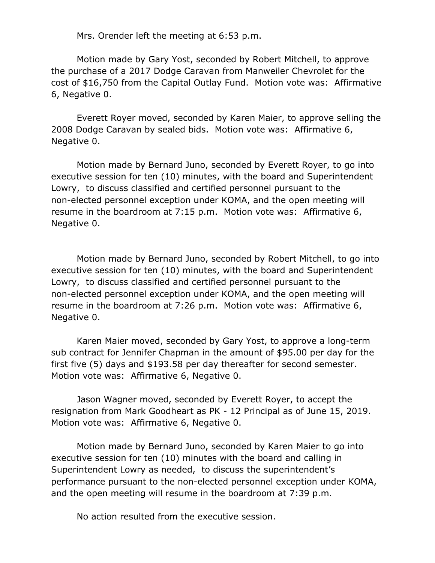Mrs. Orender left the meeting at 6:53 p.m.

Motion made by Gary Yost, seconded by Robert Mitchell, to approve the purchase of a 2017 Dodge Caravan from Manweiler Chevrolet for the cost of \$16,750 from the Capital Outlay Fund. Motion vote was: Affirmative 6, Negative 0.

Everett Royer moved, seconded by Karen Maier, to approve selling the 2008 Dodge Caravan by sealed bids. Motion vote was: Affirmative 6, Negative 0.

Motion made by Bernard Juno, seconded by Everett Royer, to go into executive session for ten (10) minutes, with the board and Superintendent Lowry, to discuss classified and certified personnel pursuant to the non-elected personnel exception under KOMA, and the open meeting will resume in the boardroom at 7:15 p.m. Motion vote was: Affirmative 6, Negative 0.

Motion made by Bernard Juno, seconded by Robert Mitchell, to go into executive session for ten (10) minutes, with the board and Superintendent Lowry, to discuss classified and certified personnel pursuant to the non-elected personnel exception under KOMA, and the open meeting will resume in the boardroom at 7:26 p.m. Motion vote was: Affirmative 6, Negative 0.

Karen Maier moved, seconded by Gary Yost, to approve a long-term sub contract for Jennifer Chapman in the amount of \$95.00 per day for the first five (5) days and \$193.58 per day thereafter for second semester. Motion vote was: Affirmative 6, Negative 0.

Jason Wagner moved, seconded by Everett Royer, to accept the resignation from Mark Goodheart as PK - 12 Principal as of June 15, 2019. Motion vote was: Affirmative 6, Negative 0.

Motion made by Bernard Juno, seconded by Karen Maier to go into executive session for ten (10) minutes with the board and calling in Superintendent Lowry as needed, to discuss the superintendent's performance pursuant to the non-elected personnel exception under KOMA, and the open meeting will resume in the boardroom at 7:39 p.m.

No action resulted from the executive session.